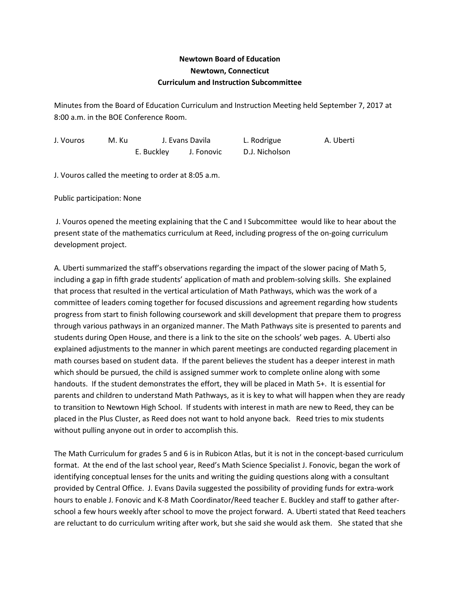## **Newtown Board of Education Newtown, Connecticut Curriculum and Instruction Subcommittee**

Minutes from the Board of Education Curriculum and Instruction Meeting held September 7, 2017 at 8:00 a.m. in the BOE Conference Room.

| J. Vouros | M. Ku | J. Evans Davila |            | L. Rodrigue    | A. Uberti |
|-----------|-------|-----------------|------------|----------------|-----------|
|           |       | E. Buckley      | J. Fonovic | D.J. Nicholson |           |

J. Vouros called the meeting to order at 8:05 a.m.

Public participation: None

J. Vouros opened the meeting explaining that the C and I Subcommittee would like to hear about the present state of the mathematics curriculum at Reed, including progress of the on-going curriculum development project.

A. Uberti summarized the staff's observations regarding the impact of the slower pacing of Math 5, including a gap in fifth grade students' application of math and problem-solving skills. She explained that process that resulted in the vertical articulation of Math Pathways, which was the work of a committee of leaders coming together for focused discussions and agreement regarding how students progress from start to finish following coursework and skill development that prepare them to progress through various pathways in an organized manner. The Math Pathways site is presented to parents and students during Open House, and there is a link to the site on the schools' web pages. A. Uberti also explained adjustments to the manner in which parent meetings are conducted regarding placement in math courses based on student data. If the parent believes the student has a deeper interest in math which should be pursued, the child is assigned summer work to complete online along with some handouts. If the student demonstrates the effort, they will be placed in Math 5+. It is essential for parents and children to understand Math Pathways, as it is key to what will happen when they are ready to transition to Newtown High School. If students with interest in math are new to Reed, they can be placed in the Plus Cluster, as Reed does not want to hold anyone back. Reed tries to mix students without pulling anyone out in order to accomplish this.

The Math Curriculum for grades 5 and 6 is in Rubicon Atlas, but it is not in the concept-based curriculum format. At the end of the last school year, Reed's Math Science Specialist J. Fonovic, began the work of identifying conceptual lenses for the units and writing the guiding questions along with a consultant provided by Central Office. J. Evans Davila suggested the possibility of providing funds for extra-work hours to enable J. Fonovic and K-8 Math Coordinator/Reed teacher E. Buckley and staff to gather afterschool a few hours weekly after school to move the project forward. A. Uberti stated that Reed teachers are reluctant to do curriculum writing after work, but she said she would ask them. She stated that she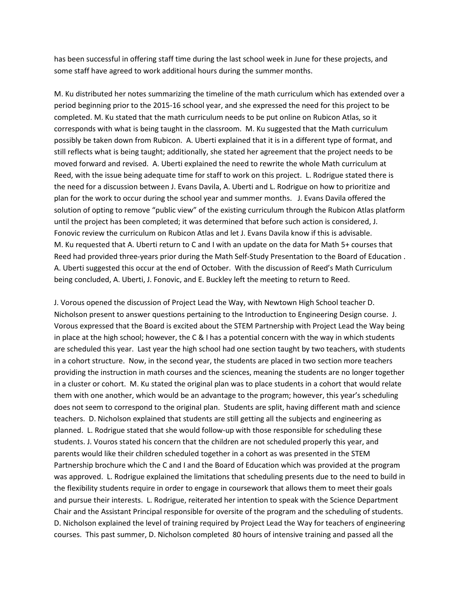has been successful in offering staff time during the last school week in June for these projects, and some staff have agreed to work additional hours during the summer months.

M. Ku distributed her notes summarizing the timeline of the math curriculum which has extended over a period beginning prior to the 2015-16 school year, and she expressed the need for this project to be completed. M. Ku stated that the math curriculum needs to be put online on Rubicon Atlas, so it corresponds with what is being taught in the classroom. M. Ku suggested that the Math curriculum possibly be taken down from Rubicon. A. Uberti explained that it is in a different type of format, and still reflects what is being taught; additionally, she stated her agreement that the project needs to be moved forward and revised. A. Uberti explained the need to rewrite the whole Math curriculum at Reed, with the issue being adequate time for staff to work on this project. L. Rodrigue stated there is the need for a discussion between J. Evans Davila, A. Uberti and L. Rodrigue on how to prioritize and plan for the work to occur during the school year and summer months. J. Evans Davila offered the solution of opting to remove "public view" of the existing curriculum through the Rubicon Atlas platform until the project has been completed; it was determined that before such action is considered, J. Fonovic review the curriculum on Rubicon Atlas and let J. Evans Davila know if this is advisable. M. Ku requested that A. Uberti return to C and I with an update on the data for Math 5+ courses that Reed had provided three-years prior during the Math Self-Study Presentation to the Board of Education . A. Uberti suggested this occur at the end of October. With the discussion of Reed's Math Curriculum being concluded, A. Uberti, J. Fonovic, and E. Buckley left the meeting to return to Reed.

J. Vorous opened the discussion of Project Lead the Way, with Newtown High School teacher D. Nicholson present to answer questions pertaining to the Introduction to Engineering Design course. J. Vorous expressed that the Board is excited about the STEM Partnership with Project Lead the Way being in place at the high school; however, the C & I has a potential concern with the way in which students are scheduled this year. Last year the high school had one section taught by two teachers, with students in a cohort structure. Now, in the second year, the students are placed in two section more teachers providing the instruction in math courses and the sciences, meaning the students are no longer together in a cluster or cohort. M. Ku stated the original plan was to place students in a cohort that would relate them with one another, which would be an advantage to the program; however, this year's scheduling does not seem to correspond to the original plan. Students are split, having different math and science teachers. D. Nicholson explained that students are still getting all the subjects and engineering as planned. L. Rodrigue stated that she would follow-up with those responsible for scheduling these students. J. Vouros stated his concern that the children are not scheduled properly this year, and parents would like their children scheduled together in a cohort as was presented in the STEM Partnership brochure which the C and I and the Board of Education which was provided at the program was approved. L. Rodrigue explained the limitations that scheduling presents due to the need to build in the flexibility students require in order to engage in coursework that allows them to meet their goals and pursue their interests. L. Rodrigue, reiterated her intention to speak with the Science Department Chair and the Assistant Principal responsible for oversite of the program and the scheduling of students. D. Nicholson explained the level of training required by Project Lead the Way for teachers of engineering courses. This past summer, D. Nicholson completed 80 hours of intensive training and passed all the